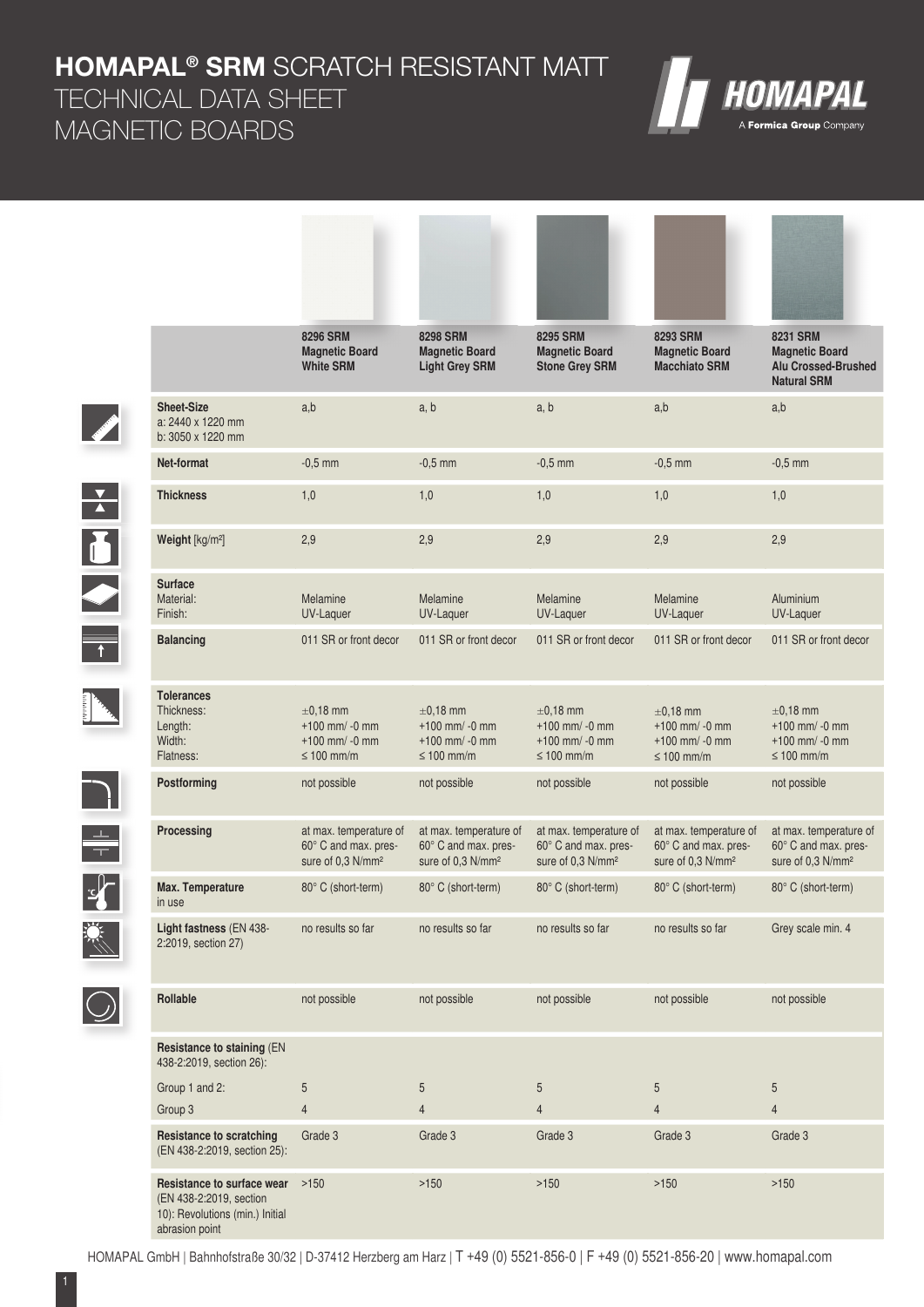**HOMAPAL® SRM** SCRATCH RESISTANT MATT

TECHNICAL DATA SHEET MAGNETIC BOARDS

| A Formica Group Company |
|-------------------------|

**Alberta Albert Langer and La** 

|                                                                                                                      |                                                                                                            | <b>8296 SRM</b><br><b>Magnetic Board</b><br><b>White SRM</b>                    | <b>8298 SRM</b><br><b>Magnetic Board</b><br><b>Light Grey SRM</b>               | 8295 SRM<br><b>Magnetic Board</b><br><b>Stone Grey SRM</b>                      | <b>8293 SRM</b><br><b>Magnetic Board</b><br><b>Macchiato SRM</b>                | <b>8231 SRM</b><br><b>Magnetic Board</b><br><b>Alu Crossed-Brushed</b><br><b>Natural SRM</b> |
|----------------------------------------------------------------------------------------------------------------------|------------------------------------------------------------------------------------------------------------|---------------------------------------------------------------------------------|---------------------------------------------------------------------------------|---------------------------------------------------------------------------------|---------------------------------------------------------------------------------|----------------------------------------------------------------------------------------------|
| <b>Contract Contract Contract Contract Contract Contract Contract Contract Contract Contract Contract Contract C</b> | <b>Sheet-Size</b><br>a: 2440 x 1220 mm<br>b: 3050 x 1220 mm                                                | a,b                                                                             | a, b                                                                            | a, b                                                                            | a,b                                                                             | a,b                                                                                          |
|                                                                                                                      | Net-format                                                                                                 | $-0.5$ mm                                                                       | $-0.5$ mm                                                                       | $-0.5$ mm                                                                       | $-0.5$ mm                                                                       | $-0,5$ mm                                                                                    |
| $\frac{1}{\sqrt{2}}$                                                                                                 | <b>Thickness</b>                                                                                           | 1,0                                                                             | 1,0                                                                             | 1,0                                                                             | 1,0                                                                             | 1,0                                                                                          |
|                                                                                                                      | Weight [kg/m <sup>2</sup> ]                                                                                | 2,9                                                                             | 2,9                                                                             | 2,9                                                                             | 2,9                                                                             | 2,9                                                                                          |
|                                                                                                                      | <b>Surface</b><br>Material:<br>Finish:                                                                     | Melamine<br>UV-Laquer                                                           | Melamine<br>UV-Laquer                                                           | Melamine<br>UV-Laquer                                                           | Melamine<br>UV-Laquer                                                           | Aluminium<br>UV-Laquer                                                                       |
|                                                                                                                      | <b>Balancing</b>                                                                                           | 011 SR or front decor                                                           | 011 SR or front decor                                                           | 011 SR or front decor                                                           | 011 SR or front decor                                                           | 011 SR or front decor                                                                        |
|                                                                                                                      | <b>Tolerances</b><br>Thickness:<br>Length:<br>Width:<br>Flatness:                                          | $\pm 0.18$ mm<br>$+100$ mm/ -0 mm<br>$+100$ mm/ -0 mm<br>$\leq 100$ mm/m        | $\pm 0.18$ mm<br>$+100$ mm/ -0 mm<br>$+100$ mm/ -0 mm<br>$\leq 100$ mm/m        | $\pm 0.18$ mm<br>$+100$ mm/ -0 mm<br>$+100$ mm/ -0 mm<br>$\leq 100$ mm/m        | $\pm$ 0.18 mm<br>$+100$ mm/ -0 mm<br>$+100$ mm/ -0 mm<br>$\leq 100$ mm/m        | $\pm 0.18$ mm<br>$+100$ mm/ -0 mm<br>$+100$ mm/ -0 mm<br>$\leq 100$ mm/m                     |
|                                                                                                                      | Postforming                                                                                                | not possible                                                                    | not possible                                                                    | not possible                                                                    | not possible                                                                    | not possible                                                                                 |
| $\doteq$                                                                                                             | Processing                                                                                                 | at max. temperature of<br>60° C and max. pres-<br>sure of 0,3 N/mm <sup>2</sup> | at max. temperature of<br>60° C and max. pres-<br>sure of 0,3 N/mm <sup>2</sup> | at max. temperature of<br>60° C and max. pres-<br>sure of 0.3 N/mm <sup>2</sup> | at max. temperature of<br>60° C and max. pres-<br>sure of 0.3 N/mm <sup>2</sup> | at max. temperature of<br>60° C and max. pres-<br>sure of 0,3 N/mm <sup>2</sup>              |
|                                                                                                                      | Max. Temperature<br>in use                                                                                 | 80° C (short-term)                                                              | 80° C (short-term)                                                              | 80° C (short-term)                                                              | 80° C (short-term)                                                              | 80° C (short-term)                                                                           |
|                                                                                                                      | Light fastness (EN 438-<br>2:2019, section 27)                                                             | no results so far                                                               | no results so far                                                               | no results so far                                                               | no results so far                                                               | Grey scale min. 4                                                                            |
|                                                                                                                      | Rollable                                                                                                   | not possible                                                                    | not possible                                                                    | not possible                                                                    | not possible                                                                    | not possible                                                                                 |
|                                                                                                                      | Resistance to staining (EN<br>438-2:2019, section 26):                                                     |                                                                                 |                                                                                 |                                                                                 |                                                                                 |                                                                                              |
|                                                                                                                      | Group 1 and 2:                                                                                             | 5                                                                               | 5                                                                               | 5                                                                               | 5                                                                               | 5                                                                                            |
|                                                                                                                      | Group 3                                                                                                    | $\overline{4}$                                                                  | $\overline{4}$                                                                  | $\overline{4}$                                                                  | $\overline{4}$                                                                  | $\overline{4}$                                                                               |
|                                                                                                                      | <b>Resistance to scratching</b><br>(EN 438-2:2019, section 25):                                            | Grade 3                                                                         | Grade 3                                                                         | Grade 3                                                                         | Grade 3                                                                         | Grade 3                                                                                      |
|                                                                                                                      | Resistance to surface wear<br>(EN 438-2:2019, section<br>10): Revolutions (min.) Initial<br>abrasion point | >150                                                                            | >150                                                                            | $>150$                                                                          | >150                                                                            | >150                                                                                         |

Terms (1982) 1975 (Party)

**Programs on Montana** 









HOMAPAL GmbH | Bahnhofstraße 30/32 | D-37412 Herzberg am Harz | T +49 (0) 5521-856-0 | F +49 (0) 5521-856-20 | www.homapal.com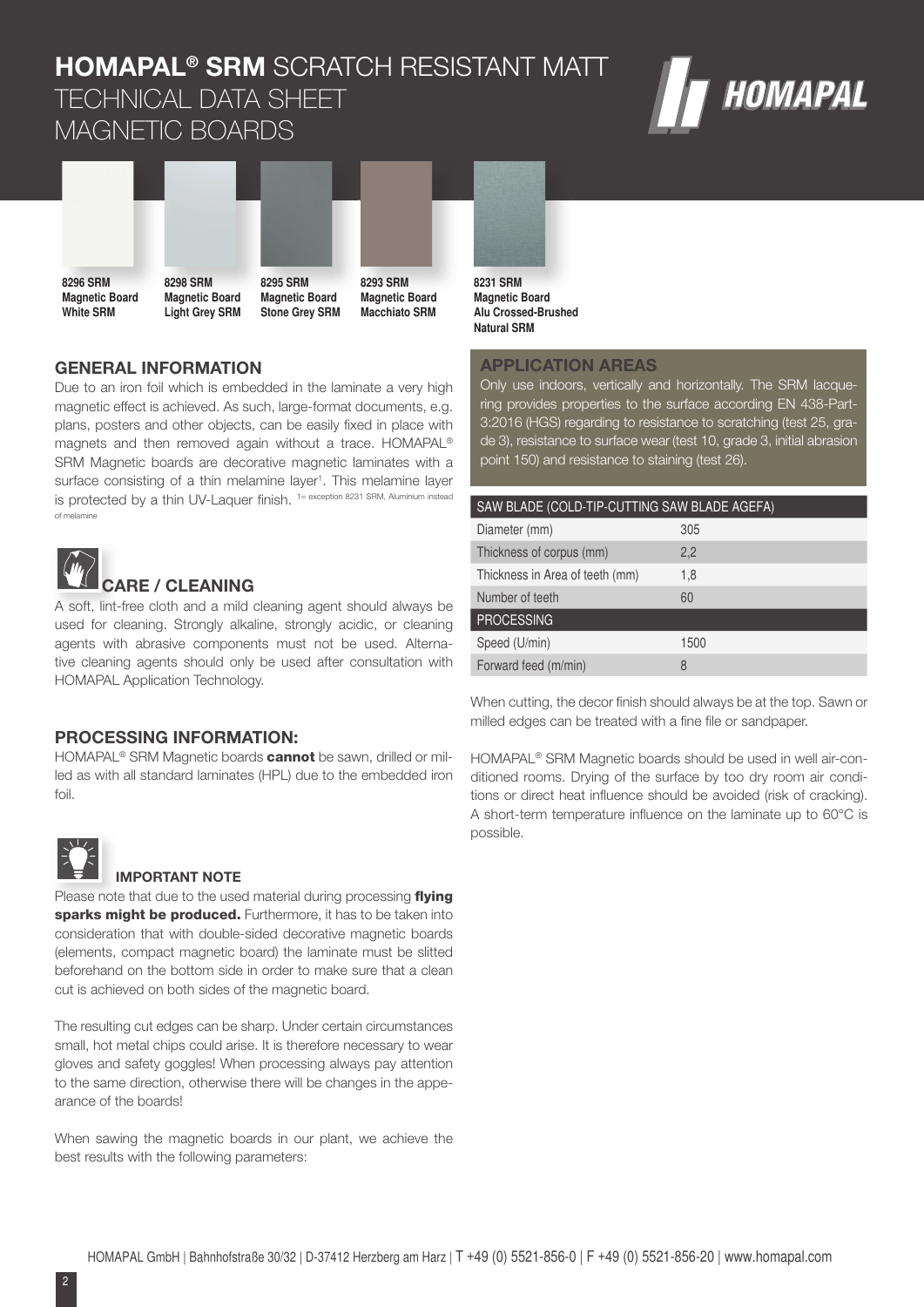# **HOMAPAL® SRM** SCRATCH RESISTANT MATT TECHNICAL DATA SHEET MAGNETIC BOARDS





**Magnetic Board White SRM**

**Magnetic Board Light Grey SRM 8295 SRM Magnetic Board Stone Grey SRM**



**8231 SRM Magnetic Board Alu Crossed-Brushed Natural SRM**

## **GENERAL INFORMATION**

Due to an iron foil which is embedded in the laminate a very high magnetic effect is achieved. As such, large-format documents, e.g. plans, posters and other objects, can be easily fixed in place with magnets and then removed again without a trace. HOMAPAL® SRM Magnetic boards are decorative magnetic laminates with a surface consisting of a thin melamine layer<sup>1</sup>. This melamine layer is protected by a thin UV-Laquer finish. <sup>1= exception 8231 SRM, Aluminium instead</sup> of melamine



## **CARE / CLEANING**

A soft, lint-free cloth and a mild cleaning agent should always be used for cleaning. Strongly alkaline, strongly acidic, or cleaning agents with abrasive components must not be used. Alternative cleaning agents should only be used after consultation with HOMAPAL Application Technology.

#### **PROCESSING INFORMATION:**

HOMAPAL<sup>®</sup> SRM Magnetic boards **cannot** be sawn, drilled or milled as with all standard laminates (HPL) due to the embedded iron foil.



#### **IMPORTANT NOTE**

Please note that due to the used material during processing flying sparks might be produced. Furthermore, it has to be taken into consideration that with double-sided decorative magnetic boards (elements, compact magnetic board) the laminate must be slitted beforehand on the bottom side in order to make sure that a clean cut is achieved on both sides of the magnetic board.

The resulting cut edges can be sharp. Under certain circumstances small, hot metal chips could arise. It is therefore necessary to wear gloves and safety goggles! When processing always pay attention to the same direction, otherwise there will be changes in the appearance of the boards!

When sawing the magnetic boards in our plant, we achieve the best results with the following parameters:

## **APPLICATION AREAS**

Only use indoors, vertically and horizontally. The SRM lacquering provides properties to the surface according EN 438-Part-3:2016 (HGS) regarding to resistance to scratching (test 25, grade 3), resistance to surface wear (test 10, grade 3, initial abrasion point 150) and resistance to staining (test 26).

| SAW BLADE (COLD-TIP-CUTTING SAW BLADE AGEFA) |      |  |  |  |
|----------------------------------------------|------|--|--|--|
| Diameter (mm)                                | 305  |  |  |  |
| Thickness of corpus (mm)                     | 2,2  |  |  |  |
| Thickness in Area of teeth (mm)              | 1,8  |  |  |  |
| Number of teeth                              | 60   |  |  |  |
| <b>PROCESSING</b>                            |      |  |  |  |
| Speed (U/min)                                | 1500 |  |  |  |
| Forward feed (m/min)                         | 8    |  |  |  |

When cutting, the decor finish should always be at the top. Sawn or milled edges can be treated with a fine file or sandpaper.

HOMAPAL® SRM Magnetic boards should be used in well air-conditioned rooms. Drying of the surface by too dry room air conditions or direct heat influence should be avoided (risk of cracking). A short-term temperature influence on the laminate up to  $60^{\circ}$ C is possible.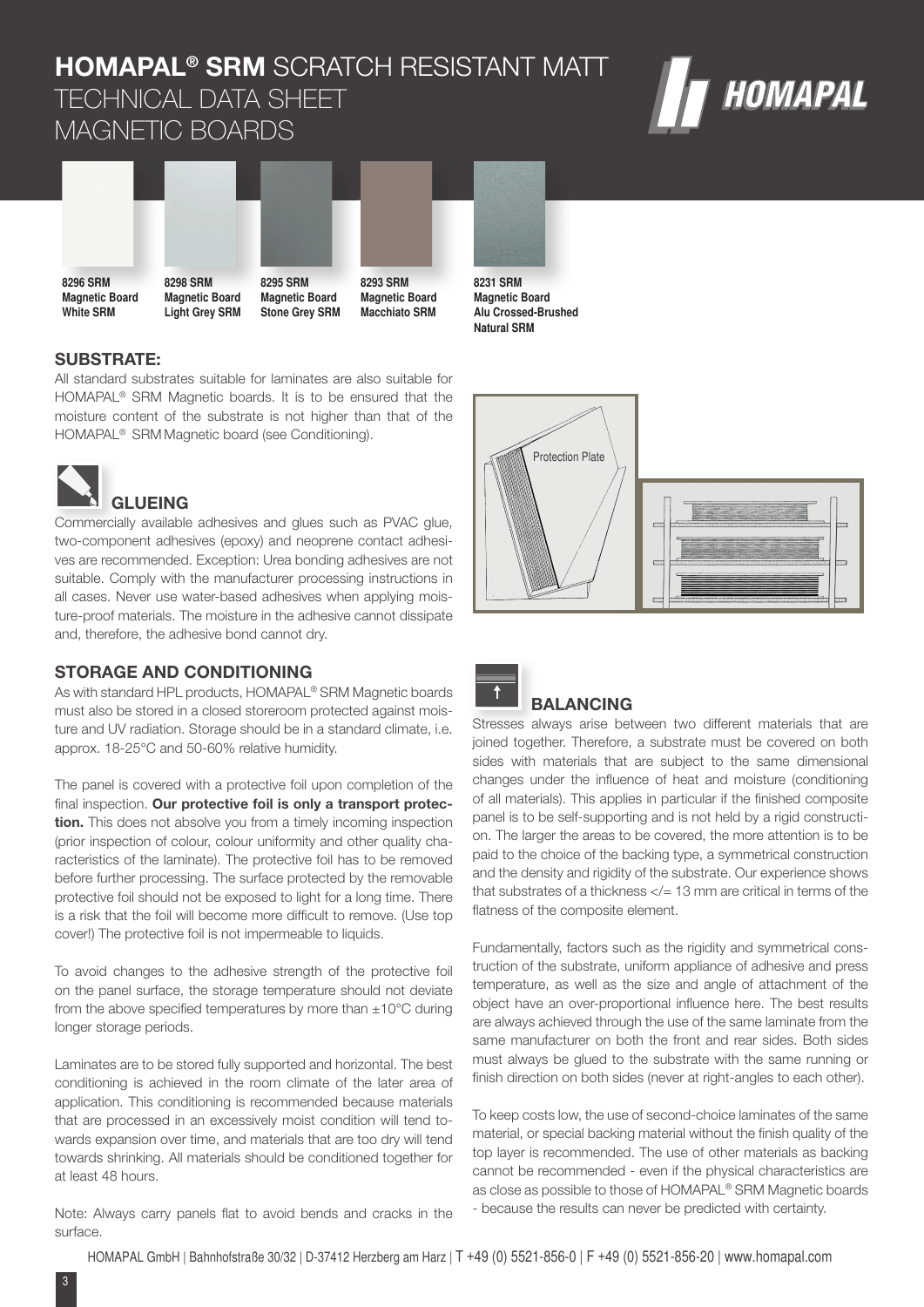# **HOMAPAL® SRM** SCRATCH RESISTANT MATT TECHNICAL DATA SHEET MAGNETIC BOARDS





**Magnetic Board White SRM**

**Light Grey SRM Stone Grey SRM**

**Magnetic Board Macchiato SRM**



**Magnetic Board Alu Crossed-Brushed Natural SRM**

## **SUBSTRATE:**

All standard substrates suitable for laminates are also suitable for HOMAPAL® SRM Magnetic boards. It is to be ensured that the moisture content of the substrate is not higher than that of the HOMAPAL® SRM Magnetic board (see Conditioning).



Commercially available adhesives and glues such as PVAC glue, two-component adhesives (epoxy) and neoprene contact adhesives are recommended. Exception: Urea bonding adhesives are not suitable. Comply with the manufacturer processing instructions in all cases. Never use water-based adhesives when applying moisture-proof materials. The moisture in the adhesive cannot dissipate and, therefore, the adhesive bond cannot dry.

### **STORAGE AND CONDITIONING**

As with standard HPL products, HOMAPAL® SRM Magnetic boards must also be stored in a closed storeroom protected against moisture and UV radiation. Storage should be in a standard climate, i.e. approx. 18-25°C and 50-60% relative humidity.

The panel is covered with a protective foil upon completion of the final inspection. Our protective foil is only a transport protec**tion.** This does not absolve you from a timely incoming inspection (prior inspection of colour, colour uniformity and other quality characteristics of the laminate). The protective foil has to be removed before further processing. The surface protected by the removable protective foil should not be exposed to light for a long time. There is a risk that the foil will become more difficult to remove. (Use top cover!) The protective foil is not impermeable to liquids.

To avoid changes to the adhesive strength of the protective foil on the panel surface, the storage temperature should not deviate from the above specified temperatures by more than  $\pm 10^{\circ}$ C during longer storage periods.

Laminates are to be stored fully supported and horizontal. The best conditioning is achieved in the room climate of the later area of application. This conditioning is recommended because materials that are processed in an excessively moist condition will tend towards expansion over time, and materials that are too dry will tend towards shrinking. All materials should be conditioned together for at least 48 hours.

Note: Always carry panels flat to avoid bends and cracks in the surface.





## **BALANCING**

Stresses always arise between two different materials that are joined together. Therefore, a substrate must be covered on both sides with materials that are subject to the same dimensional changes under the influence of heat and moisture (conditioning of all materials). This applies in particular if the finished composite panel is to be self-supporting and is not held by a rigid construction. The larger the areas to be covered, the more attention is to be paid to the choice of the backing type, a symmetrical construction and the density and rigidity of the substrate. Our experience shows that substrates of a thickness  $\lt/= 13$  mm are critical in terms of the flatness of the composite element.

Fundamentally, factors such as the rigidity and symmetrical construction of the substrate, uniform appliance of adhesive and press temperature, as well as the size and angle of attachment of the object have an over-proportional influence here. The best results are always achieved through the use of the same laminate from the same manufacturer on both the front and rear sides. Both sides must always be glued to the substrate with the same running or finish direction on both sides (never at right-angles to each other).

To keep costs low, the use of second-choice laminates of the same material, or special backing material without the finish quality of the top layer is recommended. The use of other materials as backing cannot be recommended - even if the physical characteristics are as close as possible to those of HOMAPAL® SRM Magnetic boards - because the results can never be predicted with certainty.

HOMAPAL GmbH | Bahnhofstraße 30/32 | D-37412 Herzberg am Harz | T +49 (0) 5521-856-0 | F +49 (0) 5521-856-20 | www.homapal.com